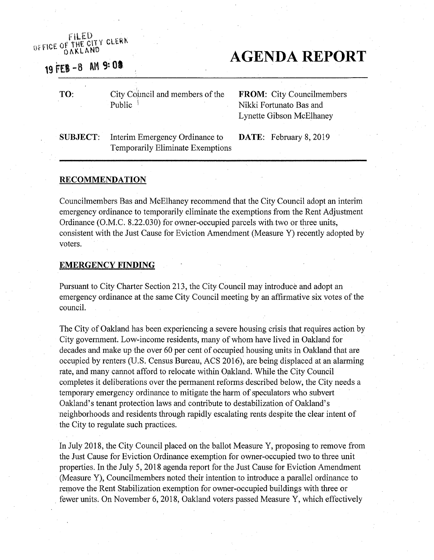### OFFICE OF THE CITY CLERK OAKLAND

# 19 FEB -8 AM 9:08

# **AGENDA REPORT**

**TO:**

City Council and members of the Public i

**FROM:** City Councilmembers Nikki Fortunato Bas and Lynette Gibson McElhaney

SUBJECT: Interim Emergency Ordinance to **DATE:** February 8, 2019 Temporarily Eliminate Exemptions

#### **RECOMMENDATION**

Councilmembers Bas and McElhaney recommend that the City Council adopt an interim emergency ordinance to temporarily eliminate the exemptions from the Rent Adjustment Ordinance (O.M.C. 8.22.030) for owner-occupied parcels with two or three units, consistent with the Just Cause for Eviction Amendment (Measure Y) recently adopted by voters.

#### **EMERGENCY FINDING**

Pursuant to City Charter Section 213, the City Council may introduce and adopt an emergency ordinance at the same City Council meeting by an affirmative six votes of the council.

The City of Oakland has been experiencing a severe housing crisis that requires action by City government. Low-income residents, many of whom have lived in Oakland for decades and make up the over 60 per cent of occupied housing units in Oakland that are occupied by renters (U.S. Census Bureau, ACS 2016), are being displaced at an alarming rate, and many cannot afford to relocate within Oakland. While the City Council completes it deliberations over the permanent reforms described below, the City needs a temporary emergency ordinance to mitigate the harm of speculators who subvert Oakland's tenant protection laws and contribute to destabilization of Oakland's neighborhoods and residents through rapidly escalating rents despite the clear intent of the City to regulate such practices.

In July 2018, the City Council placed on the ballot Measure Y, proposing to remove from the Just Cause for Eviction Ordinance exemption for owner-occupied two to three unit properties. In the July 5, 2018 agenda report for the Just Cause for Eviction Amendment (Measure Y), Councilmembers noted their intention to introduce a parallel ordinance to remove the Rent Stabilization exemption for owner-occupied buildings with three or fewer units. On November 6, 2018, Oakland voters passed Measure Y, which effectively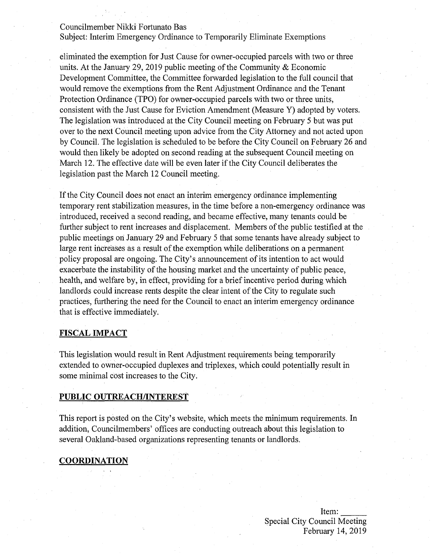#### Councilmember Nikki Fortunato Bas

Subject: Interim Emergency Ordinance to Temporarily Eliminate Exemptions

eliminated the exemption for Just Cause for owner-occupied parcels with two or three units. At the January 29, 2019 public meeting of the Community  $\&$  Economic Development Committee, the Committee forwarded legislation to the full council that would remove the exemptions from the Rent Adjustment Ordinance and the Tenant Protection Ordinance (TPO) for owner-occupied parcels with two or three units, consistent with the Just Cause for Eviction Amendment (Measure Y) adopted by voters. The legislation was introduced at the City Council meeting on February 5 but was put over to the next Council meeting upon advice from the City Attorney and not acted upon by Council. The legislation is scheduled to be before the City Council on February 26 and would then likely be adopted on second reading at the subsequent Council meeting on March 12. The effective date will be even later if the City Council deliberates the legislation past the March 12 Council meeting.

Ifthe City Council does not enact an interim emergency ordinance implementing temporary rent stabilization measures, in the time before a non-emergency ordinance was introduced, received a second reading, and became effective, many tenants could be further subject to rent increases and displacement. Members of the public testified at the public meetings on January 29 and February 5 that some tenants have already subject to large rent increases as a result of the exemption while deliberations on a permanent policy proposal are ongoing. The City's announcement of its intention to act would exacerbate the instability of the housing market and the uncertainty of public peace, health, and welfare by, in effect, providing for a brief incentive period during which landlords could increase rents despite the clear intent of the City to regulate such practices, furthering the need for the Council to enact an interim emergency ordinance that is effective immediately.

### **FISCAL IMPACT**

This legislation would result in Rent Adjustment requirements being temporarily extended to owner-occupied duplexes and triplexes, which could potentially result in some minimal cost increases to the City.

#### **PUBLIC OUTREACH/INTEREST**

This report is posted on the City's website, which meets the minimum requirements. In addition, Councilmembers' offices are conducting outreach about this legislation to several Oakland-based organizations representing tenants or landlords.

### **COORDINATION**

Item: Special City Council Meeting February 14, 2019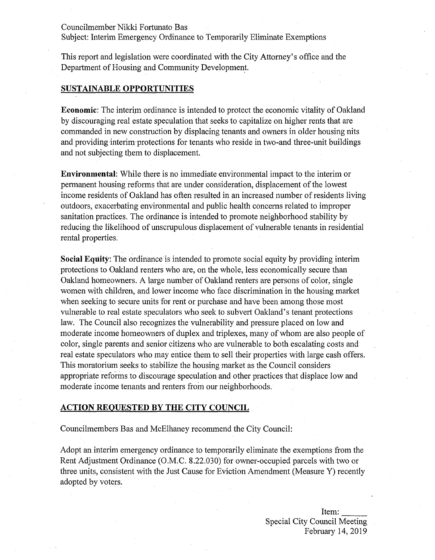Councilmember Nikki Fortunato Bas

Subject: Interim Emergency Ordinance to Temporarily Eliminate Exemptions

This report and legislation were coordinated with the City Attorney's office and the Department of Housing and Community Development.

#### **SUSTAINABLE OPPORTUNITIES**

**Economic:** The interim ordinance is intended to protect the economic vitality of Oakland by discouraging real estate speculation that seeks to capitalize on higher rents that are commanded in new construction by displacing tenants and owners in older housing nits and providing interim protections for tenants who reside in two-and three-unit buildings and not subjecting them to displacement.

**Environmental:** While there is no immediate environmental impact to the interim or permanent housing reforms that are under consideration, displacement of the lowest income residents of Oakland has often resulted in an increased number of residents living outdoors, exacerbating environmental and public health concerns related to improper sanitation practices. The ordinance is intended to promote neighborhood stability by reducing the likelihood of unscrupulous displacement of vulnerable tenants in residential rental properties.

**Social Equity**: The ordinance is intended to promote social equity by providing interim protections to Oakland renters who are, on the whole, less economically secure than Oakland homeowners. A large number of Oakland renters are persons of color, single women with children, and lower income who face discrimination in the housing market when seeking to secure units for rent or purchase and have been among those most vulnerable to real estate speculators who seek to subvert Oakland's tenant protections law. The Council also recognizes the vulnerability and pressure placed on low and moderate income homeowners of duplex and triplexes, many of whom are also people of color, single parents and senior citizens who are vulnerable to both escalating costs and real estate speculators who may entice them to sell their properties with large cash offers. This moratorium seeks to stabilize the housing market as the Council considers appropriate reforms to discourage speculation and other practices that displace low and moderate income tenants and renters from our neighborhoods.

#### **ACTION REQUESTED BY THE CITY COUNCIL**

Councilmembers Bas and McElhaney recommend the City Council:

Adopt an interim emergency ordinance to temporarily eliminate the exemptions from the Rent Adjustment Ordinance (O.M.C. 8.22.030) for owner-occupied parcels with two or three units, consistent with the Just Cause for Eviction Amendment (Measure Y) recently adopted by voters.

> Item: Special City Council Meeting February 14, 2019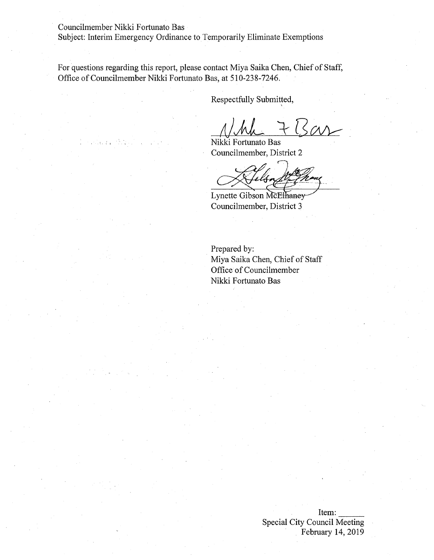Councilmember Nikki Fortunato Bas

Subject: Interim Emergency Ordinance to Temporarily Eliminate Exemptions

For questions regarding this report, please contact Miya Saika Chen, Chief of Staff, Office of Councilmember Nikki Fortunato Bas, at 510-238-7246.

Respectfully Submitted,

 $7 + B$ ar

Nikki Fortunato Bas Councilmember, District 2

**n**

Lynette Gibson McElhaney-Councilmember, District 3

Prepared by: Miya Saika Chen, Chief of Staff Office of Councilmember Nikki Fortunato Bas

> Item:  $\frac{1}{\sqrt{1-\frac{1}{2}}}$ Special City Council Meeting February 14, 2019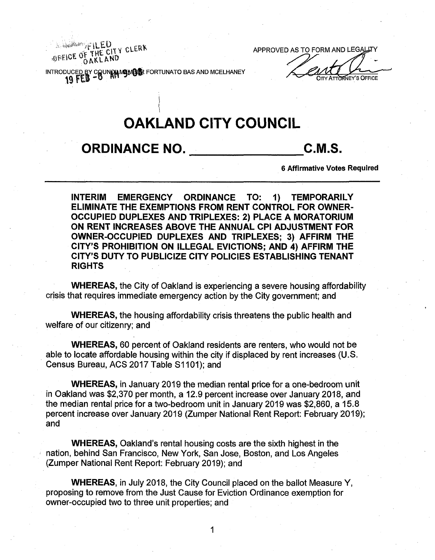APPROVED AS TO FORM AND LEGALLTY

INTRODUCED BY COUN**OUV5W§<sup>®</sup>** FORTUNATO BAS AND MCELHANEY **EXAMPLE AND** CITY ATTORNEY'S OFFICE

**i**

OFFICE OF THE CITY CLERK

OAKLAND

# **OAKLAND CITY COUNCIL**

## **ORDINANCE NO. C.M.S.**

**6** Affirmative Votes Required

**INTERIM EMERGENCY ORDINANCE TO: 1) TEMPORARILY ELIMINATE THE EXEMPTIONS FROM RENT CONTROL FOR OWNER-OCCUPIED DUPLEXES AND TRIPLEXES: 2) PLACE A MORATORIUM ON RENT INCREASES ABOVE THE ANNUAL CPI ADJUSTMENT FOR OWNER-OCCUPIED DUPLEXES AND TRIPLEXES; 3) AFFIRM THE CITY'S PROHIBITION ON ILLEGAL EVICTIONS; AND 4) AFFIRM THE CITY'S DUTY TO PUBLICIZE CITY POLICIES ESTABLISHING TENANT RIGHTS**

**WHEREAS,** the City of Oakland is experiencing a severe housing affordability crisis that requires immediate emergency action by the City government; and

**WHEREAS,** the housing affordability crisis threatens the public health and welfare of our citizenry; and

**WHEREAS,** 60 percent of Oakland residents are renters, who would not be able to locate affordable housing within the city if displaced by rent increases (U.S. Census Bureau, ACS 2017 Table S1101); and

**WHEREAS,** in Jahuary 2019 the median rental price for a one-bedroom unit in Oakland was \$2,370 per month, a 12.9 percent increase over January 2018, and the median rental price for a two-bedroom unit in January 2019 was \$2,860, a 15.8 percent increase over January 2019 (Zumper National Rent Report: February 2019); and

**WHEREAS,** Oakland's rental housing costs are the sixth highest in the nation, behind San Francisco, New York, San Jose, Boston, and Los Angeles (Zumper National Rent Report: February 2019); and

**WHEREAS,** in July 2018, the City Council placed on the ballot Measure Y, proposing to remove from the Just Cause for Eviction Ordinance exemption for owner-occupied two to three unit properties; and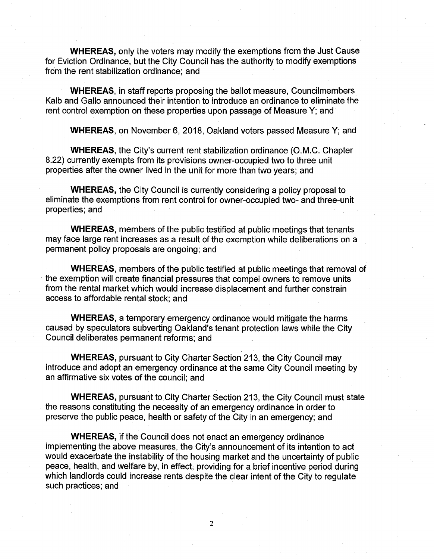WHEREAS, only the voters may modify the exemptions from the Just Cause for Eviction Ordinance, but the City Council has the authority to modify exemptions from the rent stabilization ordinance; and

WHEREAS, in staff reports proposing the ballot measure, Councilmembers Kalb and Gallo announced their intention to introduce an ordinance to eliminate the rent control exemption on these properties upon passage of Measure Y; and

WHEREAS, on November 6, 2018, Oakland voters passed Measure Y; and

WHEREAS, the City's current rent stabilization ordinance (O.M.C. Chapter 8.22) currently exempts from its provisions owner-occupied two to three unit properties after the owner lived in the unit for more than two years; and

WHEREAS, the City Council is currently considering a policy proposal to eliminate the exemptions from rent control for owner-occupied two- and three-unit properties; and

WHEREAS, members of the public testified at public meetings that tenants may face large rent increases as a result of the exemption while deliberations on a permanent policy proposals are ongoing; and

WHEREAS, members of the public testified at public meetings that removal of the exemption will create financial pressures that compel owners to remove units from the rental market which would increase displacement and further constrain access to affordable rental stock; and

WHEREAS, a temporary emergency ordinance would mitigate the harms caused by speculators subverting Oakland's tenant protection laws while the City Council deliberates permanent reforms; and

WHEREAS, pursuant to City Charter Section 213, the City Council may introduce and adopt an emergency ordinance at the same City Council meeting by an affirmative six votes of the council; and

WHEREAS, pursuant to City Charter Section 213, the City Council must state the reasons constituting the necessity of an emergency ordinance in order to preserve the public peace, health or safety of the City in an emergency; and

WHEREAS, if the Council does not enact an emergency ordinance implementing the above measures, the City's announcement of its intention to act would exacerbate the instability of the housing market and the uncertainty of public peace, health, and welfare by, in effect, providing for a brief incentive period during which landlords could increase rents despite the clear intent of the City to regulate such practices; and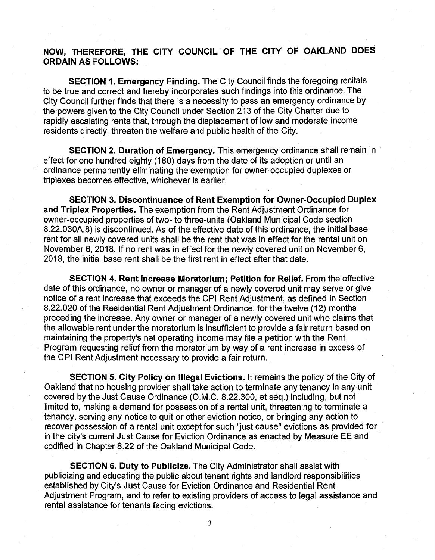### NOW, THEREFORE, THE CITY COUNCIL OF THE CITY OF OAKLAND DOES ORDAIN AS FOLLOWS:

**SECTION 1. Emergency Finding.** The City Council finds the foregoing recitals to be true and correct and hereby incorporates such findings into this ordinance. The City Council further finds that there is a necessity to pass an emergency ordinance by the powers given to the City Council under Section 213 of the City Charter due to rapidly escalating rents that, through the displacement of low and moderate income residents directly, threaten the welfare and public health of the City.

**SECTION 2. Duration of Emergency.** This emergency ordinance shall remain in effect for one hundred eighty (180) days from the date of its adoption or until an ordinance permanently eliminating the exemption for owner-occupied duplexes or triplexes becomes effective, whichever is earlier.

**SECTION 3. Discontinuance of Rent Exemption for Owner-Occupied Duplex and Triplex Properties.** The exemption from the Rent Adjustment Ordinance for owner-occupied properties of two- to three-units (Oakland Municipal Code section 8.22.030A.8) is discontinued. As of the effective date of this ordinance, the initial base rent for all newly covered units shall be the rent that was in effect for the rental unit on November 6, 2018. If no rent was in effect for the newly covered unit on November 6, 2018, the initial base rent shall be the first rent in effect after that date.

**SECTION 4. Rent Increase Moratorium; Petition for Relief.** From the effective date of this ordinance, no owner or manager of a newly covered unit may serve or give notice of a rent increase that exceeds the CPI Rent Adjustment, as defined in Section 8.22.020 of the Residential Rent Adjustment Ordinance, for the twelve (12) months preceding the increase. Any owner or manager of a newly covered unit who claims that the allowable rent under the moratorium is insufficient to provide a fair return based on maintaining the property's net operating income may file a petition with the Rent Program requesting relief from the moratorium by way of a rent increase in excess of the CPI Rent Adjustment necessary to provide a fair return.

**SECTION 5. City Policy on Illegal Evictions.** It remains the policy of the City of Oakland that no housing provider shall take action to terminate any tenancy in any unit covered by the Just Cause Ordinance (O.M.C. 8.22.300, et seq.) including, but not limited to, making a demand for possession of a rental unit, threatening to terminate a tenancy, serving any notice to quit or other eviction notice, or bringing any action to recover possession of a rental unit except for such "just cause" evictions as provided for in the city's current Just Cause for Eviction Ordinance as enacted by Measure EE and codified in Chapter 8.22 of the Oakland Municipal Code.

**SECTION 6. Duty to Publicize.** The City Administrator shall assist with publicizing and educating the public about tenant rights and landlord responsibilities established by City's Just Cause for Eviction Ordinance and Residential Rent Adjustment Program, and to refer to existing providers of access to legal assistance and rental assistance for tenants facing evictions.

**3**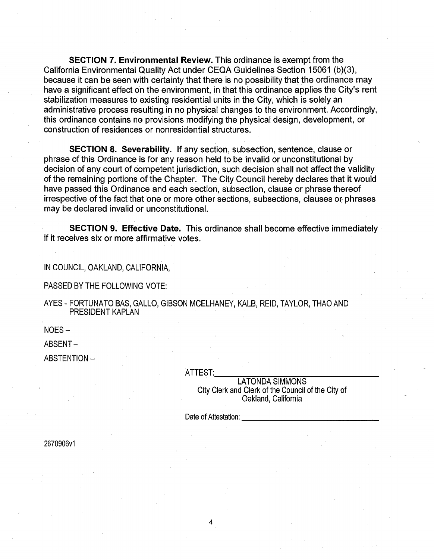**SECTION 7. Environmental Review.** This ordinance is exempt from the California Environmental Quality Act under CEQA Guidelines Section 15061 (b)(3), because it can be seen with certainty that there is no possibility that the ordinance may have a significant effect on the environment, in that this ordinance applies the City's rent stabilization measures to existing residential units in the City, which is solely an administrative process resulting in no physical changes to the environment. Accordingly, this ordinance contains no provisions modifying the physical design, development, or construction of residences or nonresidential structures.

**SECTION 8. Severability.** If any section, subsection, sentence, clause or phrase of this Ordinance is for any reason held to be invalid or unconstitutional by decision of any court of competent jurisdiction, such decision shall not affect the validity of the remaining portions of the Chapter. The City Council hereby declares that it would have passed this Ordinance and each section, subsection, clause or phrase thereof irrespective of the fact that one or more other sections, subsections, clauses or phrases may be declared invalid or unconstitutional.

**SECTION 9. Effective Date.** This ordinance shall become effective immediately if it receives six or more affirmative votes.

IN COUNCIL, OAKLAND, CALIFORNIA,

PASSED BY THE FOLLOWING VOTE:

AYES - FORTUNATO BAS, GALLO, GIBSON MCELHANEY, KALB, REID, TAYLOR, THAO AND PRESIDENT KAPLAN

NOES-

ABSENT-

ABSTENTION -

ATTEST:

LATONDA SIMMONS City Clerk and Clerk of the Council of the City of Oakland, California

Date of Attestation:

2670906v1